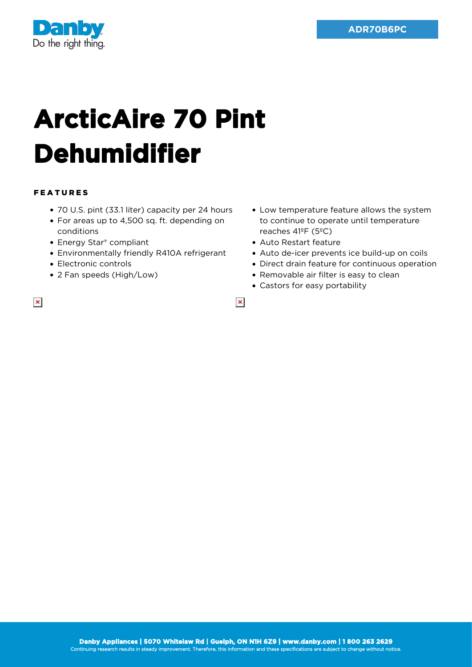

## **ArcticAire 70 Pint Dehumidifier**

## FEATURES

 $\pmb{\times}$ 

- 70 U.S. pint (33.1 liter) capacity per 24 hours
- For areas up to 4,500 sq. ft. depending on conditions
- Energy Star<sup>®</sup> compliant
- Environmentally friendly R410A refrigerant
- Electronic controls
- 2 Fan speeds (High/Low)
- Low temperature feature allows the system to continue to operate until temperature reaches 41ºF (5ºC)
- Auto Restart feature
- Auto de-icer prevents ice build-up on coils
- Direct drain feature for continuous operation
- Removable air filter is easy to clean
- Castors for easy portability

 $\pmb{\times}$